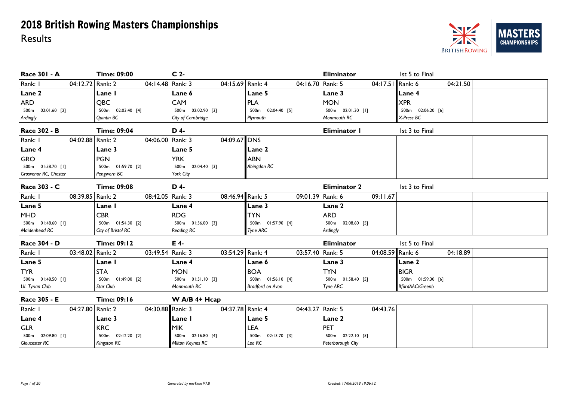

| Race 301 - A                  | <b>Time: 09:00</b>          | C <sub>2</sub>      |                    | <b>Eliminator</b>   | 1st 5 to Final      |
|-------------------------------|-----------------------------|---------------------|--------------------|---------------------|---------------------|
| Rank: I<br>04:12.72 Rank: 2   | 04:14.48   Rank: 3          | 04:15.69 Rank: 4    | 04:16.70 Rank: 5   | 04:17.51 Rank: 6    | 04:21.50            |
| Lane 2                        | Lane I                      | Lane 6              | Lane 5             | Lane 3              | Lane 4              |
| <b>ARD</b>                    | QBC                         | <b>CAM</b>          | <b>PLA</b>         | <b>MON</b>          | <b>XPR</b>          |
| 500m 02:01.60 [2]             | 500m 02:03.40 [4]           | 500m 02:02.90 [3]   | 500m 02:04.40 [5]  | 500m 02:01.30 [1]   | 500m 02:06.20 [6]   |
| Ardingly                      | Quintin BC                  | City of Cambridge   | Plymouth           | Monmouth RC         | X-Press BC          |
| Race 302 - B                  | <b>Time: 09:04</b>          | D 4-                |                    | Eliminator I        | 1st 3 to Final      |
| Rank: I<br>04:02.88   Rank: 2 | 04:06.00 Rank: 3            | 04:09.67 DNS        |                    |                     |                     |
| Lane 4                        | Lane 3                      | Lane 5              | Lane 2             |                     |                     |
| <b>GRO</b>                    | <b>PGN</b>                  | <b>YRK</b>          | <b>ABN</b>         |                     |                     |
| 500m 01:58.70 [1]             | 500m 01:59.70 [2]           | 500m 02:04.40 [3]   | Abingdon RC        |                     |                     |
| Grosvenor RC, Chester         | Pengwern BC                 | York City           |                    |                     |                     |
| Race 303 - C                  | <b>Time: 09:08</b>          | D 4-                |                    | <b>Eliminator 2</b> | 1st 3 to Final      |
| Rank: I<br>08:39.85 Rank: 2   | 08:42.05   Rank: 3          | 08:46.94 Rank: 5    | 09:01.39 Rank: 6   | 09:11.67            |                     |
| Lane 5                        | Lane I                      | Lane 4              | Lane 3             | Lane 2              |                     |
| <b>MHD</b>                    | <b>CBR</b>                  | <b>RDG</b>          | <b>TYN</b>         | <b>ARD</b>          |                     |
| 500m  01:48.60  [1]           | 500m  01:54.30  [2]         | 500m  01:56.00  [3] | 500m  01:57.90 [4] | 500m 02:08.60 [5]   |                     |
| Maidenhead RC                 | City of Bristol RC          | <b>Reading RC</b>   | Tyne ARC           | Ardingly            |                     |
| Race 304 - D                  | <b>Time: 09:12</b>          | E 4-                |                    | <b>Eliminator</b>   | 1st 5 to Final      |
| Rank: I<br>03:48.02           | Rank: 2<br>03:49.54 Rank: 3 | 03:54.29 Rank: 4    | 03:57.40 Rank: 5   | 04:08.59 Rank: 6    | 04:18.89            |
| Lane 5                        | Lane I                      | Lane 4              | Lane 6             | Lane 3              | Lane 2              |
| <b>TYR</b>                    | <b>STA</b>                  | <b>MON</b>          | <b>BOA</b>         | <b>TYN</b>          | <b>BIGR</b>         |
| 500m 01:48.50 [1]             | 500m  01:49.00  [2]         | 500m  01:51.10  [3] | 500m 01:56.10 [4]  | 500m 01:58.40 [5]   | 500m  01:59.30  [6] |
| <b>UL Tyrian Club</b>         | Star Club                   | Monmouth RC         | Bradford on Avon   | <b>Tyne ARC</b>     | BfordAAC/Greenb     |
| Race 305 - E                  | <b>Time: 09:16</b>          | W A/B 4+ Hcap       |                    |                     |                     |
| Rank: I<br>04:27.80 Rank: 2   | 04:30.88 Rank: 3            | 04:37.78 Rank: 4    | 04:43.27 Rank: 5   | 04:43.76            |                     |
| Lane 4                        | Lane 3                      | Lane I              | Lane 5             | Lane 2              |                     |
| <b>GLR</b>                    | <b>KRC</b>                  | MIK                 | <b>LEA</b>         | <b>PET</b>          |                     |
| 500m 02:09.80 [1]             | 500m  02:12.20  [2]         | 500m 02:16.80 [4]   | 500m 02:13.70 [3]  | 500m  02:22.10  [5] |                     |
| Gloucester RC                 | Kingston RC                 | Milton Keynes RC    | Lea RC             | Peterborough City   |                     |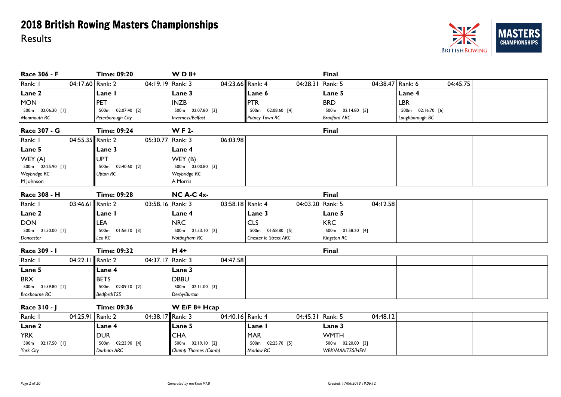

| Race 306 - F                | <b>Time: 09:20</b>          | $W D 8+$            |                       | Final               |                   |
|-----------------------------|-----------------------------|---------------------|-----------------------|---------------------|-------------------|
| Rank: I<br>04:17.60 Rank: 2 | 04:19.19 Rank: 3            | 04:23.66 Rank: 4    | 04:28.31   Rank: 5    | 04:38.47 Rank: 6    | 04:45.75          |
| Lane 2                      | Lane I                      | Lane 3              | Lane 6                | Lane 5              | Lane 4            |
| <b>MON</b>                  | PET                         | <b>INZB</b>         | PTR                   | <b>BRD</b>          | <b>LBR</b>        |
| 500m  02:06.30 [1]          | 500m 02:07.40 [2]           | 500m 02:07.80 [3]   | 500m  02:08.60 [4]    | 500m  02:14.80  [5] | 500m 02:16.70 [6] |
| Monmouth RC                 | Peterborough City           | Inverness/Belfast   | Putney Town RC        | <b>Bradford ARC</b> | Loughborough BC   |
| Race 307 - G                | <b>Time: 09:24</b>          | <b>WF2-</b>         |                       | <b>Final</b>        |                   |
| Rank: I<br>04:55.35 Rank: 2 | 05:30.77                    | Rank: 3<br>06:03.98 |                       |                     |                   |
| Lane 5                      | Lane 3                      | Lane 4              |                       |                     |                   |
| WEY (A)                     | <b>UPT</b>                  | WEY (B)             |                       |                     |                   |
| 500m  02:25.90 [1]          | 500m 02:40.60 [2]           | 500m 03:00.80 [3]   |                       |                     |                   |
| Weybridge RC                | <b>Upton RC</b>             | Weybridge RC        |                       |                     |                   |
| M Johnson                   |                             | A Morris            |                       |                     |                   |
| Race 308 - H                | <b>Time: 09:28</b>          | <b>NC A-C 4x-</b>   |                       | Final               |                   |
| Rank: I<br>03:46.61 Rank: 2 | 03:58.16 Rank: 3            | 03:58.18 Rank: 4    | 04:03.20 Rank: 5      | 04:12.58            |                   |
| Lane 2                      | Lane I                      | Lane 4              | Lane 3                | Lane 5              |                   |
| <b>DON</b>                  | LEA                         | <b>NRC</b>          | <b>CLS</b>            | <b>KRC</b>          |                   |
| 500m  01:50.00  [1]         | 500m  01:56.10  [3]         | 500m  01:53.10  [2] | 500m 01:58.80 [5]     | 500m 01:58.20 [4]   |                   |
| Doncaster                   | Lea RC                      | Nottingham RC       | Chester le Street ARC | Kingston RC         |                   |
| Race 309 - I                | <b>Time: 09:32</b>          | $H$ 4+              |                       | <b>Final</b>        |                   |
| Rank: I<br>04:22.11         | Rank: 2<br>04:37.17 Rank: 3 | 04:47.58            |                       |                     |                   |
| Lane 5                      | Lane 4                      | Lane 3              |                       |                     |                   |
| <b>BRX</b>                  | <b>BETS</b>                 | <b>DBBU</b>         |                       |                     |                   |
| 500m  01:59.80 [1]          | 500m 02:09.10 [2]           | 500m  02:11.00  [3] |                       |                     |                   |
| <b>Broxbourne RC</b>        | Bedford/TSS                 | Derby/Burton        |                       |                     |                   |
| Race 310 - J                | <b>Time: 09:36</b>          | $W E/F 8+ Hcap$     |                       |                     |                   |
| Rank: I<br>04:25.91 Rank: 2 | 04:38.17 Rank: 3            | 04:40.16 Rank: 4    | 04:45.31   Rank: 5    | 04:48.12            |                   |
| Lane 2                      | Lane 4                      | Lane 5              | Lane I                | Lane 3              |                   |
| <b>YRK</b>                  | <b>DUR</b>                  | <b>CHA</b>          | <b>MAR</b>            | <b>WMTH</b>         |                   |
| 500m  02:17.50  [1]         | 500m 02:23.90 [4]           | 500m  02:19.10  [2] | 500m 02:25.70 [5]     | 500m 02:20.00 [3]   |                   |
| York City                   | Durham ARC                  | Champ Thames (Camb) | <b>Marlow RC</b>      | WBK/MAA/TSS/HEN     |                   |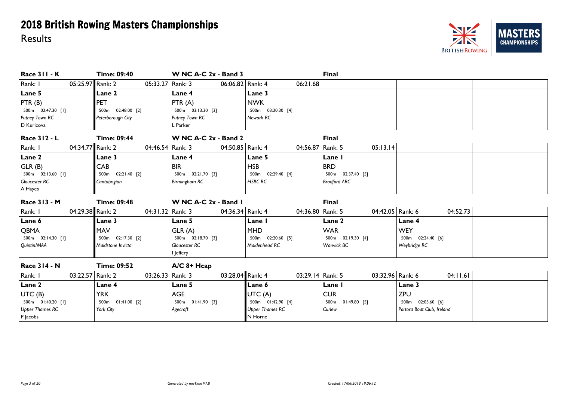

| <b>Race 311 - K</b>         | <b>Time: 09:40</b>  | W NC A-C 2x - Band 3 |                                   | <b>Final</b>                |                            |
|-----------------------------|---------------------|----------------------|-----------------------------------|-----------------------------|----------------------------|
| Rank: I<br>05:25.97 Rank: 2 | 05:33.27 Rank: 3    | 06:06.82 Rank: 4     | 06:21.68                          |                             |                            |
| Lane 5                      | Lane 2              | Lane 4               | Lane 3                            |                             |                            |
| PTR(B)                      | PET                 | PTR $(A)$            | <b>NWK</b>                        |                             |                            |
| 500m 02:47.30 [1]           | 500m 02:48.00 [2]   | 500m 03:13.30 [3]    | 500m 03:20.30 [4]                 |                             |                            |
| Putney Town RC              | Peterborough City   | Putney Town RC       | Newark RC                         |                             |                            |
| D Kuricova                  |                     | L Parker             |                                   |                             |                            |
| Race 312 - L                | <b>Time: 09:44</b>  | W NC A-C 2x - Band 2 |                                   | <b>Final</b>                |                            |
| Rank: I<br>04:34.77 Rank: 2 | 04:46.54 Rank: 3    | 04:50.85   Rank: 4   | 04:56.87                          | Rank: 5<br>05:13.14         |                            |
| Lane 2                      | Lane 3              | Lane 4               | Lane 5                            | Lane I                      |                            |
| GLR(B)                      | <b>CAB</b>          | <b>BIR</b>           | <b>HSB</b>                        | <b>BRD</b>                  |                            |
| 500m  02:13.60  [1]         | 500m 02:21.40 [2]   | 500m 02:21.70 [3]    | 500m 02:29.40 [4]                 | 500m 02:37.40 [5]           |                            |
| Gloucester RC               | Cantabrigian        | Birmingham RC        | <b>HSBC RC</b>                    | <b>Bradford ARC</b>         |                            |
| A Hayes                     |                     |                      |                                   |                             |                            |
| Race 313 - M                | <b>Time: 09:48</b>  | W NC A-C 2x - Band I |                                   | <b>Final</b>                |                            |
| 04:29.38 Rank: 2<br>Rank: I | 04:31.32 Rank: 3    |                      | 04:36.34 Rank: 4<br>04:36.80      | Rank: 5<br>04:42.05 Rank: 6 | 04:52.73                   |
|                             |                     |                      |                                   |                             |                            |
| Lane 6                      | Lane 3              | Lane 5               | Lane I                            | Lane 2                      | Lane 4                     |
| QBMA                        | <b>MAV</b>          | GLR(A)               | <b>MHD</b>                        | <b>WAR</b>                  | <b>WEY</b>                 |
| 500m 02:14.30 [1]           | 500m  02:17.30  [2] | 500m 02:18.70 [3]    | 500m 02:20.60 [5]                 | 500m 02:19.30 [4]           | 500m 02:24.40 [6]          |
| Quintin/MAA                 | Maidstone Invicta   | Gloucester RC        | Maidenhead RC                     | Warwick BC                  | Weybridge RC               |
|                             |                     | I Jeffery            |                                   |                             |                            |
| Race 314 - N                | <b>Time: 09:52</b>  | $A/C$ 8+ $Hcap$      |                                   |                             |                            |
| 03:22.57 Rank: 2<br>Rank: I | 03:26.33   Rank: 3  | 03:28.04 Rank: 4     | 03:29.14 Rank: 5                  | 03:32.96 Rank: 6            | 04:11.61                   |
| Lane 2                      | Lane 4              | Lane 5               | Lane 6                            | Lane I                      | Lane 3                     |
| UTC (B)                     | <b>YRK</b>          | AGE                  | UTC (A)                           | <b>CUR</b>                  | <b>ZPU</b>                 |
| 500m 01:40.20 [1]           | 500m  01:41.00  [2] | 500m 01:41.90 [3]    | 500m  01:42.90  [4]               | 500m<br>01:49.80 [5]        | 500m 02:03.60 [6]          |
| <b>Upper Thames RC</b>      | York City           | Agecroft             | <b>Upper Thames RC</b><br>N Horne | Curlew                      | Portora Boat Club, Ireland |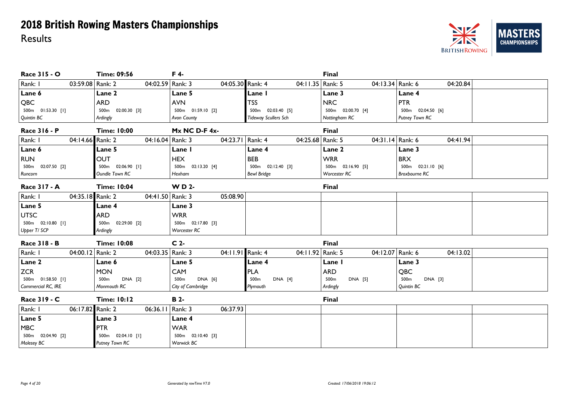

| Race 315 - O                | <b>Time: 09:56</b>               | F 4-                        |                             | <b>Final</b>           |                             |
|-----------------------------|----------------------------------|-----------------------------|-----------------------------|------------------------|-----------------------------|
| Rank: I<br>03:59.08 Rank: 2 | 04:02.59 Rank: 3                 | 04:05.30 Rank: 4            | 04:11.35   Rank: 5          | 04:13.34 Rank: 6       | 04:20.84                    |
| Lane 6                      | Lane 2                           | Lane 5                      | Lane I                      | Lane 3                 | Lane 4                      |
| QBC                         | <b>ARD</b>                       | <b>AVN</b>                  | <b>TSS</b>                  | <b>NRC</b>             | <b>PTR</b>                  |
| 500m  01:53.30  [1]         | 500 <sub>m</sub><br>02:00.30 [3] | 500m 01:59.10 [2]           | 500m 02:03.40 [5]           | 500m 02:00.70 [4]      | 500m 02:04.50 [6]           |
| Quintin BC                  | Ardingly                         | Avon County                 | <b>Tideway Scullers Sch</b> | Nottingham RC          | Putney Town RC              |
| Race 316 - P                | <b>Time: 10:00</b>               | $Mx$ NC D-F $4x$ -          |                             | <b>Final</b>           |                             |
| 04:14.66 Rank: 2<br>Rank: I | 04:16.04 Rank: 3                 | 04:23.71 Rank: 4            | 04:25.68 Rank: 5            | 04:31.14 Rank: 6       | 04:41.94                    |
| Lane 6                      | Lane 5                           | Lane I                      | Lane 4                      | Lane 2                 | Lane 3                      |
| <b>RUN</b>                  | <b>OUT</b>                       | <b>HEX</b>                  | <b>BEB</b>                  | <b>WRR</b>             | <b>BRX</b>                  |
| 500m 02:07.50 [2]           | 500m 02:06.90 [1]                | 500m 02:13.20 [4]           | 500m  02:12.40  [3]         | 500m 02:16.90 [5]      | 500m 02:21.10 [6]           |
| Runcorn                     | Oundle Town RC                   | Hexham                      | <b>Bewl Bridge</b>          | Worcester RC           | <b>Broxbourne RC</b>        |
| Race 317 - A                | <b>Time: 10:04</b>               | <b>WD2-</b>                 |                             | <b>Final</b>           |                             |
| 04:35.18 Rank: 2<br>Rank: I | 04:41.50 Rank: 3                 | 05:08.90                    |                             |                        |                             |
| Lane 5                      | Lane 4                           | Lane 3                      |                             |                        |                             |
| <b>UTSC</b>                 | <b>ARD</b>                       | <b>WRR</b>                  |                             |                        |                             |
| 500m  02:10.80  [1]         | 500m 02:29.00 [2]                | 500m  02:17.80  [3]         |                             |                        |                             |
| Upper T/ SCP                | Ardingly                         | Worcester RC                |                             |                        |                             |
| Race 318 - B                | <b>Time: 10:08</b>               | C <sub>2</sub>              |                             | <b>Final</b>           |                             |
| 04:00.12 Rank: 2<br>Rank: I | 04:03.35   Rank: 3               | 04:11.91 Rank: 4            | 04:11.92 Rank: 5            | 04:12.07 Rank: 6       | 04:13.02                    |
| Lane 2                      | Lane 6                           | Lane 5                      | Lane 4                      | Lane I                 | Lane 3                      |
| <b>ZCR</b>                  | <b>MON</b>                       | <b>CAM</b>                  | <b>PLA</b>                  | <b>ARD</b>             | <b>QBC</b>                  |
| 500m  01:58.50 [1]          | DNA [2]<br>500 <sub>m</sub>      | DNA [6]<br>500 <sub>m</sub> | DNA [4]<br>500 <sub>m</sub> | 500m<br><b>DNA</b> [5] | 500 <sub>m</sub><br>DNA [3] |
| Commercial RC, IRE          | Monmouth RC                      | City of Cambridge           | Plymouth                    | Ardingly               | Quintin BC                  |
| Race 319 - C                | <b>Time: 10:12</b>               | <b>B</b> 2-                 |                             | <b>Final</b>           |                             |
| 06:17.82 Rank: 2<br>Rank: I | 06:36.11   Rank: 3               | 06:37.93                    |                             |                        |                             |
| Lane 5                      | Lane 3                           | Lane 4                      |                             |                        |                             |
| <b>MBC</b>                  | <b>PTR</b>                       | <b>WAR</b>                  |                             |                        |                             |
| 500m 02:04.90 [2]           | 500m  02:04.10 [1]               | 500m 02:10.40 [3]           |                             |                        |                             |
| Molesey BC                  | <b>Putney Town RC</b>            | Warwick BC                  |                             |                        |                             |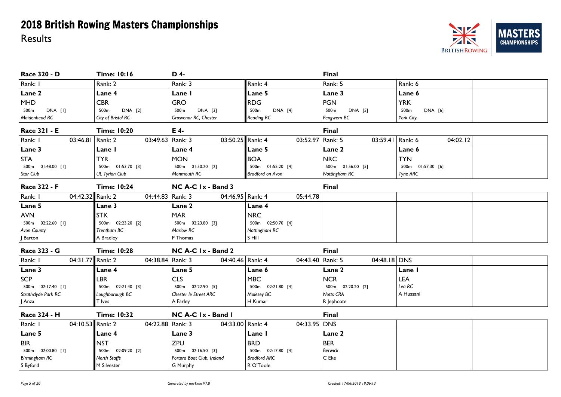

| Race 320 - D                | <b>Time: 10:16</b>          | D 4-                       |                             | <b>Final</b>           |                   |
|-----------------------------|-----------------------------|----------------------------|-----------------------------|------------------------|-------------------|
| Rank: I                     | Rank: 2                     | Rank: 3                    | Rank: 4                     | Rank: 5                | Rank: 6           |
| Lane 2                      | Lane 4                      | Lane I                     | Lane 5                      | Lane 3                 | Lane 6            |
| <b>MHD</b>                  | <b>CBR</b>                  | <b>GRO</b>                 | <b>RDG</b>                  | <b>PGN</b>             | <b>YRK</b>        |
| DNA [I]<br>500m             | DNA [2]<br>500 <sub>m</sub> | DNA [3]<br>500m            | 500 <sub>m</sub><br>DNA [4] | 500m<br><b>DNA</b> [5] | DNA [6]<br>500m   |
| Maidenhead RC               | City of Bristol RC          | Grosvenor RC, Chester      | Reading RC                  | Pengwern BC            | York City         |
| Race 321 - E                | <b>Time: 10:20</b>          | E 4-                       |                             | <b>Final</b>           |                   |
| 03:46.81 Rank: 2<br>Rank: I | 03:49.63   Rank: 3          | 03:50.25 Rank: 4           | 03:52.97   Rank: 5          | 03:59.41 Rank: 6       | 04:02.12          |
| Lane 3                      | Lane I                      | Lane 4                     | Lane 5                      | Lane 2                 | Lane 6            |
| <b>STA</b>                  | <b>TYR</b>                  | <b>MON</b>                 | <b>BOA</b>                  | <b>NRC</b>             | <b>TYN</b>        |
| 500m 01:48.00 [1]           | 500m 01:53.70 [3]           | 500m 01:50.20 [2]          | 500m 01:55.20 [4]           | 500m 01:56.00 [5]      | 500m 01:57.30 [6] |
| Star Club                   | UL Tyrian Club              | Monmouth RC                | Bradford on Avon            | Nottingham RC          | Tyne ARC          |
| Race 322 - F                | <b>Time: 10:24</b>          | NC A-C Ix - Band 3         |                             | Final                  |                   |
| 04:42.32 Rank: 2<br>Rank: I | 04:44.83 Rank: 3            | 04:46.95   Rank: 4         | 05:44.78                    |                        |                   |
| Lane 5                      | Lane 3                      | Lane 2                     | Lane 4                      |                        |                   |
| <b>AVN</b>                  | <b>STK</b>                  | <b>MAR</b>                 | <b>NRC</b>                  |                        |                   |
| 500m 02:22.60 [I]           | 500m 02:23.20 [2]           | 500m 02:23.80 [3]          | 500m 02:50.70 [4]           |                        |                   |
| Avon County                 | Trentham BC                 | Marlow RC                  | Nottingham RC               |                        |                   |
| J Barton                    | A Bradley                   | P Thomas                   | S Hill                      |                        |                   |
| Race 323 - G                | <b>Time: 10:28</b>          | NC A-C 1x - Band 2         |                             | <b>Final</b>           |                   |
| 04:31.77 Rank: 2<br>Rank: I | 04:38.84   Rank: 3          | 04:40.46 Rank: 4           | 04:43.40 Rank: 5            | 04:48.18 DNS           |                   |
| Lane 3                      | Lane 4                      | Lane 5                     | Lane 6                      | Lane 2                 | Lane I            |
| SCP                         | <b>LBR</b>                  | <b>CLS</b>                 | <b>MBC</b>                  | <b>NCR</b>             | <b>LEA</b>        |
| 500m  02:17.40 [1]          | 500m  02:21.40  [3]         | 500m 02:22.90 [5]          | 500m 02:21.80 [4]           | 500m 02:20.20 [2]      | Lea RC            |
| Strathclyde Park RC         | Loughborough BC             | Chester le Street ARC      | Molesey BC                  | Notts CRA              | A Hussani         |
| J Anza                      | T Ives                      | A Farley                   | H Kumar                     | R Jephcote             |                   |
| Race 324 - H                | <b>Time: 10:32</b>          | NC A-C Ix - Band I         |                             | <b>Final</b>           |                   |
| 04:10.53 Rank: 2<br>Rank: I | 04:22.88 Rank: 3            | 04:33.00 Rank: 4           | 04:33.95 DNS                |                        |                   |
| Lane 5                      | Lane 4                      | Lane 3                     | Lane I                      | Lane 2                 |                   |
| <b>BIR</b>                  | <b>NST</b>                  | <b>ZPU</b>                 | <b>BRD</b>                  | <b>BER</b>             |                   |
| 500m 02:00.80 [1]           | 500m 02:09.20 [2]           | 500m 02:16.50 [3]          | 500m 02:17.80 [4]           | <b>Berwick</b>         |                   |
| Birmingham RC               | North Staffs                | Portora Boat Club, Ireland | <b>Bradford ARC</b>         | C Eke                  |                   |
| S Byford                    | M Silvester                 | G Murphy                   | R O'Toole                   |                        |                   |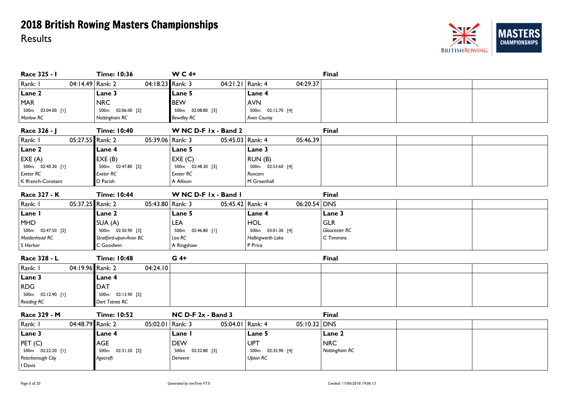

| Race 325 - I                | <b>Time: 10:36</b>     | $W C 4+$             |                    | Final                |
|-----------------------------|------------------------|----------------------|--------------------|----------------------|
| Rank: I<br>04:14.49 Rank: 2 | 04:18.23 Rank: 3       | 04:21.21 Rank: 4     | 04:29.37           |                      |
| Lane 2                      | Lane 3                 | <b>Lane 5</b>        | Lane 4             |                      |
| <b>MAR</b>                  | <b>NRC</b>             | <b>BEW</b>           | <b>AVN</b>         |                      |
| 500m 02:04.00 [1]           | 500m 02:06.00 [2]      | 500m 02:08.80 [3]    | 500m  02:12.70 [4] |                      |
| Marlow RC                   | Nottingham RC          | <b>Bewdley RC</b>    | Avon County        |                      |
| Race 326 - J                | <b>Time: 10:40</b>     | W NC D-F Ix - Band 2 |                    | <b>Final</b>         |
| 05:27.55 Rank: 2<br>Rank: I | 05:39.06   Rank: 3     | 05:45.03   Rank: 4   | 05:46.39           |                      |
| Lane 2                      | Lane 4                 | Lane 5               | Lane 3             |                      |
| EXE(A)                      | EXE(B)                 | EXE(C)               | RUN(B)             |                      |
| 500m 02:40.30 [1]           | 500m 02:47.80 [2]      | 500m 02:48.30 [3]    | 500m 02:53.60 [4]  |                      |
| Exeter RC                   | Exeter RC              | Exeter RC            | Runcorn            |                      |
| K ffrench-Constant          | D Parish               | A Allison            | M Greenhall        |                      |
| Race 327 - K                | <b>Time: 10:44</b>     | W NC D-F Ix - Band I |                    | Final                |
| Rank: I<br>05:37.25 Rank: 2 | 05:43.80   Rank: 3     | 05:45.42 Rank: 4     | 06:20.54 DNS       |                      |
| Lane I                      | <b>Lane 2</b>          | Lane 5               | Lane 4             | Lane 3               |
| <b>MHD</b>                  | SUA (A)                | LEA                  | <b>HOL</b>         | <b>GLR</b>           |
| 500m 02:47.50 [2]           | 500m 02:50.90 [3]      | 500m 02:46.80 [1]    | 500m 03:01.30 [4]  | <b>Gloucester RC</b> |
| Maidenhead RC               | Stratford-upon-Avon BC | Lea RC               | Hollingworth Lake  | C Timmins            |
| S Harker                    | C Goodwin              | A Ringshaw           | P Price            |                      |
| Race 328 - L                | <b>Time: 10:48</b>     | $G$ 4+               |                    | <b>Final</b>         |
| Rank: I<br>04:19.96 Rank: 2 | 04:24.10               |                      |                    |                      |
| Lane 3                      | <b>Lane 4</b>          |                      |                    |                      |
| <b>RDG</b>                  | <b>DAT</b>             |                      |                    |                      |
| 500m 02:12.90 [1]           | 500m  02:13.90  [2]    |                      |                    |                      |
| Reading RC                  | Dart Totnes RC         |                      |                    |                      |
| Race 329 - M                | <b>Time: 10:52</b>     | NC D-F 2x - Band 3   |                    | Final                |
| Rank: I<br>04:48.79 Rank: 2 | 05:02.01   Rank: 3     | 05:04.01   Rank: 4   | 05:10.32 DNS       |                      |
| Lane 3                      | Lane 4                 | Lane I               | Lane 5             | Lane 2               |
| PET(C)                      | <b>AGE</b>             | <b>DEW</b>           | <b>UPT</b>         | <b>NRC</b>           |
| 500m 02:22.20 [1]           | 500m  02:31.20  [2]    | 500m 02:32.80 [3]    | 500m 02:35.90 [4]  | Nottingham RC        |
| Peterborough City           | Agecroft               | Derwent              | Upton RC           |                      |
| I Davis                     |                        |                      |                    |                      |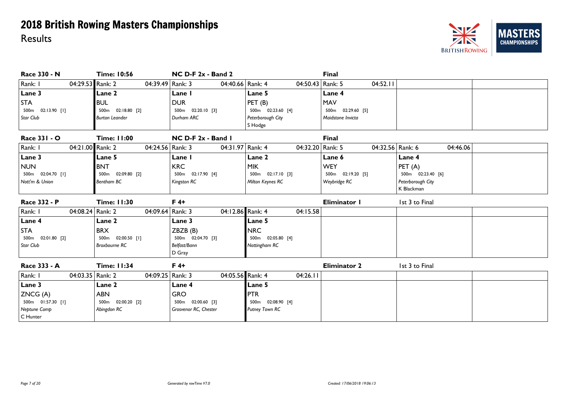

| Race 330 - N                  | <b>Time: 10:56</b>    | $NC$ D-F $2x$ - Band 2 |                   | <b>Final</b>                   |                   |
|-------------------------------|-----------------------|------------------------|-------------------|--------------------------------|-------------------|
| 04:29.53 Rank: 2<br>Rank: I   | 04:39.49 Rank: 3      | 04:40.66 Rank: 4       |                   | 04:50.43   Rank: 5<br>04:52.11 |                   |
| Lane 3                        | Lane 2                | Lane I                 | Lane 5            | Lane 4                         |                   |
| <b>STA</b>                    | <b>BUL</b>            | <b>DUR</b>             | PET(B)            | <b>MAV</b>                     |                   |
| 500m  02:13.90  [1]           | 500m 02:18.80 [2]     | 500m 02:20.10 [3]      | 500m 02:23.60 [4] | 500m 02:29.60 [5]              |                   |
| Star Club                     | <b>Burton Leander</b> | Durham ARC             | Peterborough City | Maidstone Invicta              |                   |
|                               |                       |                        | S Hodge           |                                |                   |
| Race 331 - O                  | <b>Time: 11:00</b>    | $NC$ D-F $2x$ - Band I |                   | <b>Final</b>                   |                   |
| 04:21.00 Rank: 2<br>Rank: I   | 04:24.56 Rank: 3      | 04:31.97 Rank: 4       | 04:32.20          | Rank: 5<br>04:32.56 Rank: 6    | 04:46.06          |
| Lane 3                        | Lane 5                | Lane I                 | Lane 2            | Lane 6                         | Lane 4            |
| <b>NUN</b>                    | <b>BNT</b>            | <b>KRC</b>             | <b>MIK</b>        | <b>WEY</b>                     | PET (A)           |
| 500m 02:04.70 [1]             | 500m 02:09.80 [2]     | 500m 02:17.90 [4]      | 500m 02:17.10 [3] | 500m  02:19.20  [5]            | 500m 02:23.40 [6] |
| Nott'm & Union                | Bentham BC            | Kingston RC            | Milton Keynes RC  | Weybridge RC                   | Peterborough City |
|                               |                       |                        |                   |                                | K Blackman        |
| Race 332 - P                  | <b>Time: 11:30</b>    | $F4+$                  |                   | Eliminator I                   | 1st 3 to Final    |
| Rank: I<br>04:08.24 Rank: 2   | 04:09.64 Rank: 3      | 04:12.86 Rank: 4       | 04:15.58          |                                |                   |
| Lane 4                        | Lane 2                | Lane 3                 | Lane 5            |                                |                   |
| <b>STA</b>                    | <b>BRX</b>            | ZBZB (B)               | <b>NRC</b>        |                                |                   |
| 500m 02:01.80 [2]             | 500m 02:00.50 [1]     | 500m 02:04.70 [3]      | 500m 02:05.80 [4] |                                |                   |
| Star Club                     | <b>Broxbourne RC</b>  | Belfast/Bann           | Nottingham RC     |                                |                   |
|                               |                       | D Gray                 |                   |                                |                   |
| Race 333 - A                  | <b>Time: 11:34</b>    | $F4+$                  |                   | <b>Eliminator 2</b>            | 1st 3 to Final    |
| Rank: I<br>04:03.35   Rank: 2 | 04:09.25   Rank: 3    | 04:05.56 Rank: 4       | 04:26.11          |                                |                   |
| Lane 3                        | Lane 2                | Lane 4                 | Lane 5            |                                |                   |
| ZNCG (A)                      | <b>ABN</b>            | <b>GRO</b>             | PTR               |                                |                   |
| 500m  01:57.30 [1]            | 500m 02:00.20 [2]     | 500m 02:00.60 [3]      | 500m 02:08.90 [4] |                                |                   |
| Neptune Comp                  | Abingdon RC           | Grosvenor RC, Chester  | Putney Town RC    |                                |                   |
| C Hunter                      |                       |                        |                   |                                |                   |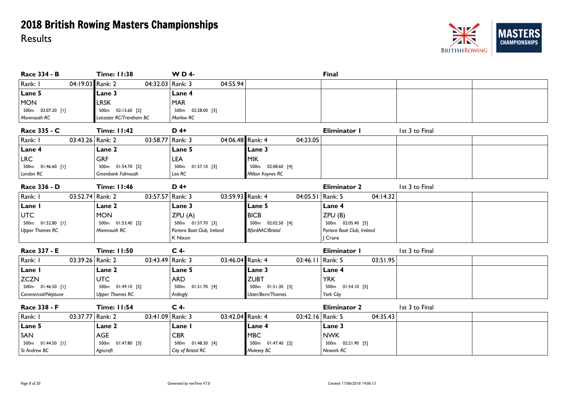

| Race 334 - B                | <b>Time: 11:38</b>       | <b>WD4-</b>                 |                     | <b>Final</b>               |                |
|-----------------------------|--------------------------|-----------------------------|---------------------|----------------------------|----------------|
| 04:19.03 Rank: 2<br>Rank: I | 04:32.03   Rank: 3       | 04:55.94                    |                     |                            |                |
| Lane 5                      | <b>Lane 3</b>            | Lane 4                      |                     |                            |                |
| <b>MON</b>                  | <b>LRSK</b>              | <b>MAR</b>                  |                     |                            |                |
| 500m 02:07.20 [1]           | 500m 02:13.60 [2]        | 500m 02:28.00 [3]           |                     |                            |                |
| Monmouth RC                 | Leicester RC/Trentham BC | Marlow RC                   |                     |                            |                |
| Race 335 - C                | <b>Time: 11:42</b>       | $D$ 4+                      |                     | Eliminator I               | 1st 3 to Final |
| Rank: I<br>03:43.26 Rank: 2 | 03:58.77 Rank: 3         | 04:06.48 Rank: 4            | 04:23.05            |                            |                |
| Lane 4                      | Lane 2                   | Lane 5                      | Lane 3              |                            |                |
| <b>LRC</b>                  | <b>GRF</b>               | LEA                         | <b>MIK</b>          |                            |                |
| 500m  01:46.60 [1]          | 500m  01:54.70  [2]      | 500m  01:57.10  [3]         | 500m 02:08.60 [4]   |                            |                |
| London <sub>RC</sub>        | Greenbank Falmouth       | Lea RC                      | Milton Keynes RC    |                            |                |
| Race 336 - D                | <b>Time: 11:46</b>       | $D$ 4+                      |                     | <b>Eliminator 2</b>        | 1st 3 to Final |
| Rank: I<br>03:52.74 Rank: 2 | 03:57.57   Rank: 3       | 03:59.93 Rank: 4            | 04:05.51            | Rank: 5<br>04:14.32        |                |
| Lane I                      | Lane 2                   | Lane 3                      | Lane 5              | Lane 4                     |                |
| <b>UTC</b>                  | <b>MON</b>               | ZPU(A)                      | <b>BICB</b>         | ZPU(B)                     |                |
| 500m  01:52.80  [1]         | 500m  01:53.40  [2]      | 500m  01:57.70  [3]         | 500m 02:02.50 [4]   | 500m  02:05.40  [5]        |                |
| <b>Upper Thames RC</b>      | Monmouth RC              | Portora Boat Club, Ireland  | BfordAAC/Bristol    | Portora Boat Club, Ireland |                |
|                             |                          | K Nixon                     |                     | Crane                      |                |
| Race 337 - E                | <b>Time: 11:50</b>       | $C$ 4-                      |                     | Eliminator I               | 1st 3 to Final |
| 03:39.26 Rank: 2<br>Rank: I | 03:43.49 Rank: 3         | 03:46.04 Rank: 4            | 03:46.11   Rank: 5  | 03:51.95                   |                |
| Lane I                      | Lane 2                   | Lane 5                      | Lane 3              | Lane 4                     |                |
| <b>ZCZN</b>                 | <b>UTC</b>               | <b>ARD</b>                  | <b>ZUBT</b>         | <b>YRK</b>                 |                |
| 500m  01:46.50 [1]          | 500m 01:49.10 [2]        | 500m  01:51.70 [4]          | 500m 01:51.30 [3]   | 500m  01:54.10  [5]        |                |
| Commercial/Neptune          | <b>Upper Thames RC</b>   | Ardingly                    | Uster/Bern/Thames   | York City                  |                |
| Race 338 - F                | <b>Time: 11:54</b>       | $C$ 4-                      |                     | <b>Eliminator 2</b>        | 1st 3 to Final |
| Rank: I<br>03:37.77         | Rank: 2<br>03:41.09      | 03:42.04 Rank: 4<br>Rank: 3 | 03:42.16 Rank: 5    | 04:35.43                   |                |
| Lane 5                      | Lane 2                   | Lane I                      | Lane 4              | Lane 3                     |                |
| SAN                         | <b>AGE</b>               | <b>CBR</b>                  | <b>MBC</b>          | <b>NWK</b>                 |                |
| 500m  01:44.50 [1]          | 500m 01:47.80 [3]        | 500m 01:48.30 [4]           | 500m  01:47.40  [2] | 500m 02:21.90 [5]          |                |
| St Andrew BC                | Agecroft                 | City of Bristol RC          | Molesey BC          | Newark RC                  |                |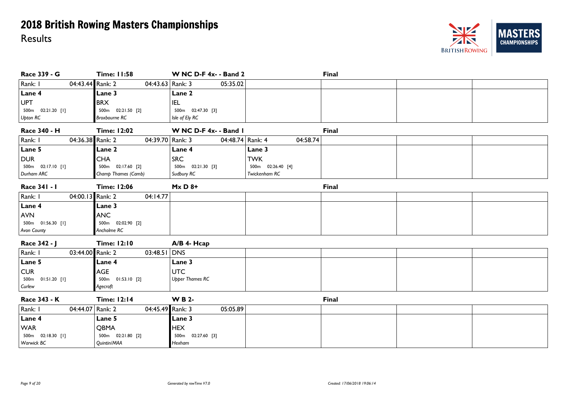

| Race 339 - G                | <b>Time: 11:58</b>   | W NC D-F 4x- - Band 2  |                     | Final        |  |
|-----------------------------|----------------------|------------------------|---------------------|--------------|--|
| 04:43.44 Rank: 2<br>Rank: I | 04:43.63   Rank: 3   | 05:35.02               |                     |              |  |
| Lane 4                      | Lane 3               | Lane 2                 |                     |              |  |
| <b>UPT</b>                  | <b>BRX</b>           | <b>IEL</b>             |                     |              |  |
| 500m  02:21.20 [1]          | 500m 02:21.50 [2]    | 500m  02:47.30  [3]    |                     |              |  |
| Upton RC                    | <b>Broxbourne RC</b> | Isle of Ely RC         |                     |              |  |
| Race 340 - H                | <b>Time: 12:02</b>   | W NC D-F 4x- - Band I  |                     | <b>Final</b> |  |
| 04:36.38 Rank: 2<br>Rank: I | 04:39.70   Rank: 3   | 04:48.74 Rank: 4       | 04:58.74            |              |  |
| Lane 5                      | Lane 2               | Lane 4                 | Lane 3              |              |  |
| <b>DUR</b>                  | <b>CHA</b>           | <b>SRC</b>             | <b>TWK</b>          |              |  |
| 500m  02:17.10  [1]         | 500m  02:17.60  [2]  | 500m 02:21.30 [3]      | 500m  02:26.40  [4] |              |  |
| Durham ARC                  | Champ Thames (Camb)  | Sudbury RC             | Twickenham RC       |              |  |
| Race 341 - I                | <b>Time: 12:06</b>   | $Mx D 8+$              |                     | <b>Final</b> |  |
| Rank: I<br>04:00.13 Rank: 2 | 04:14.77             |                        |                     |              |  |
| Lane 4                      | <b>Lane 3</b>        |                        |                     |              |  |
| <b>AVN</b>                  | <b>ANC</b>           |                        |                     |              |  |
| 500m  01:56.30 [1]          | 500m 02:02.90 [2]    |                        |                     |              |  |
| <b>Avon County</b>          | Ancholme RC          |                        |                     |              |  |
| Race 342 - J                | <b>Time: 12:10</b>   | A/B 4- Hcap            |                     |              |  |
| Rank: I<br>03:44.00 Rank: 2 | $03:48.51$ DNS       |                        |                     |              |  |
| Lane 5                      | Lane 4               | Lane 3                 |                     |              |  |
| <b>CUR</b>                  | <b>AGE</b>           | <b>UTC</b>             |                     |              |  |
| 500m  01:51.20 [1]          | 500m  01:53.10  [2]  | <b>Upper Thames RC</b> |                     |              |  |
| Curlew                      | Agecroft             |                        |                     |              |  |
| Race 343 - K                | <b>Time: 12:14</b>   | <b>WB2-</b>            |                     | Final        |  |
| Rank: I<br>04:44.07 Rank: 2 | 04:45.49 Rank: 3     | 05:05.89               |                     |              |  |
| Lane 4                      | Lane 5               | Lane 3                 |                     |              |  |
| <b>WAR</b>                  | QBMA                 | <b>HEX</b>             |                     |              |  |
| 500m  02:18.30 [1]          | 500m  02:21.80  [2]  | 500m  02:27.60  [3]    |                     |              |  |
| <b>Warwick BC</b>           | Quintin/MAA          | Hexham                 |                     |              |  |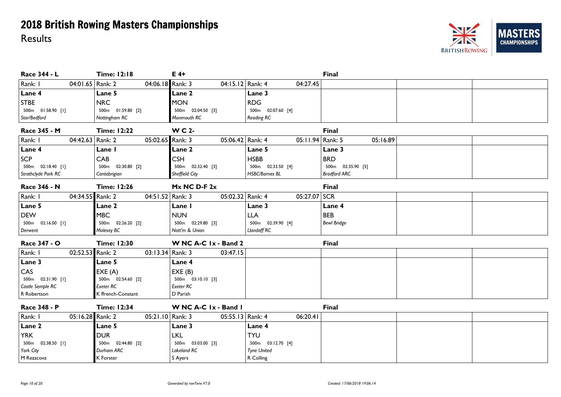

| Race 344 - L                | <b>Time: 12:18</b>  | $E$ 4+               |                       | Final               |
|-----------------------------|---------------------|----------------------|-----------------------|---------------------|
| Rank: I<br>04:01.65 Rank: 2 | 04:06.18 Rank: 3    | 04:15.12 Rank: 4     | 04:27.45              |                     |
| Lane 4                      | Lane 5              | Lane 2               | Lane 3                |                     |
| <b>STBE</b>                 | <b>NRC</b>          | <b>MON</b>           | <b>RDG</b>            |                     |
| 500m 01:58.90 [1]           | 500m 01:59.80 [2]   | 500m 02:04.50 [3]    | 500m 02:07.60 [4]     |                     |
| Star/Bedford                | Nottingham RC       | Monmouth RC          | Reading RC            |                     |
| Race 345 - M                | <b>Time: 12:22</b>  | <b>WC2-</b>          |                       | <b>Final</b>        |
| Rank: I<br>04:42.63 Rank: 2 | 05:02.65 Rank: 3    | 05:06.42 Rank: 4     | 05:11.94 Rank: 5      | 05:16.89            |
| Lane 4                      | Lane I              | Lane 2               | Lane 5                | Lane 3              |
| SCP                         | CAB                 | <b>CSH</b>           | <b>HSBB</b>           | <b>BRD</b>          |
| 500m  02:18.40  [1]         | 500m 02:30.80 [2]   | 500m  02:32.40  [3]  | 500m 02:33.50 [4]     | 500m 02:35.90 [5]   |
| Strathclyde Park RC         | Cantabrigian        | Sheffield City       | <b>HSBC/Barnes BL</b> | <b>Bradford ARC</b> |
| Race 346 - N                | <b>Time: 12:26</b>  | Mx NC D-F 2x         |                       | <b>Final</b>        |
| Rank: I<br>04:34.55 Rank: 2 | 04:51.52 Rank: 3    | 05:02.32 Rank: 4     | 05:27.07              | $\vert$ SCR         |
| Lane 5                      | Lane 2              | Lane I               | Lane 3                | Lane 4              |
| <b>DEW</b>                  | <b>MBC</b>          | <b>NUN</b>           | <b>LLA</b>            | <b>BEB</b>          |
| 500m  02:16.00 [1]          | 500m 02:26.20 [2]   | 500m 02:29.80 [3]    | 500m 02:39.90 [4]     | <b>Bewl Bridge</b>  |
| Derwent                     | Molesey BC          | Nott'm & Union       | Llandaff RC           |                     |
| Race 347 - O                | <b>Time: 12:30</b>  | W NC A-C Ix - Band 2 |                       | <b>Final</b>        |
| 02:52.53 Rank: 2<br>Rank: I | 03:13.34 Rank: 3    | 03:47.15             |                       |                     |
| Lane 3                      | Lane 5              | Lane 4               |                       |                     |
| CAS                         | EXE(A)              | EXE(B)               |                       |                     |
| 500m  02:31.90  [1]         | 500m  02:54.60  [2] | 500m 03:10.10 [3]    |                       |                     |
| Castle Semple RC            | Exeter RC           | Exeter RC            |                       |                     |
| R Robertson                 | K ffrench-Constant  | D Parish             |                       |                     |
| Race 348 - P                | <b>Time: 12:34</b>  | W NC A-C Ix - Band I |                       | <b>Final</b>        |
| Rank: I<br>05:16.28 Rank: 2 | 05:21.10 Rank: 3    | 05:55.13 Rank: 4     | 06:20.41              |                     |
| Lane 2                      | Lane 5              | Lane 3               | Lane 4                |                     |
| <b>YRK</b>                  | <b>DUR</b>          | <b>LKL</b>           | <b>TYU</b>            |                     |
| 500m 02:38.50 [1]           | 500m  02:44.80  [2] | 500m 03:03.00 [3]    | 500m 03:12.70 [4]     |                     |
| York City                   | Durham ARC          | Lakeland RC          | <b>Tyne United</b>    |                     |
| M Rezacova                  | K Forster           | S Ayers              | R Colling             |                     |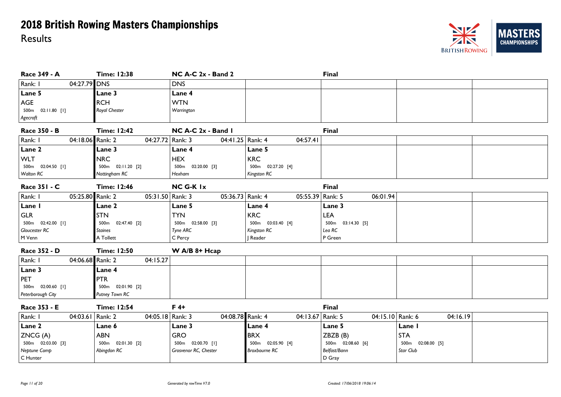

| Race 349 - A            | <b>Time: 12:38</b>                   | NC A-C 2x - Band 2     |                      | <b>Final</b>         |                      |
|-------------------------|--------------------------------------|------------------------|----------------------|----------------------|----------------------|
| 04:27.79 DNS<br>Rank: I |                                      | <b>DNS</b>             |                      |                      |                      |
| Lane 5                  | Lane 3                               | Lane 4                 |                      |                      |                      |
| AGE                     | <b>RCH</b>                           | <b>WTN</b>             |                      |                      |                      |
| 500m  02:11.80  [1]     | <b>Royal Chester</b>                 | Warrington             |                      |                      |                      |
| Agecroft                |                                      |                        |                      |                      |                      |
| Race 350 - B            | <b>Time: 12:42</b>                   | $NC$ A-C $2x$ - Band 1 |                      | <b>Final</b>         |                      |
| Rank: I                 | 04:18.06 Rank: 2<br>04:27.72 Rank: 3 | 04:41.25 Rank: 4       | 04:57.41             |                      |                      |
| Lane 2                  | <b>Lane 3</b>                        | Lane 4                 | Lane 5               |                      |                      |
| <b>WLT</b>              | <b>NRC</b>                           | <b>HEX</b>             | <b>KRC</b>           |                      |                      |
| 500m 02:04.50 [1]       | 500m  02:11.20  [2]                  | 500m 02:20.00 [3]      | 500m 02:27.20 [4]    |                      |                      |
| Walton RC               | Nottingham RC                        | Hexham                 | Kingston RC          |                      |                      |
| Race 351 - C            | <b>Time: 12:46</b>                   | <b>NC G-K Ix</b>       |                      | <b>Final</b>         |                      |
| Rank: I                 | 05:25.80 Rank: 2<br>05:31.50 Rank: 3 | 05:36.73 Rank: 4       | 05:55.39 Rank: 5     | 06:01.94             |                      |
| Lane I                  | Lane 2                               | Lane 5                 | Lane 4               | Lane 3               |                      |
| <b>GLR</b>              | <b>STN</b>                           | <b>TYN</b>             | <b>KRC</b>           | LEA                  |                      |
| 500m 02:42.00 [1]       | 500m 02:47.40 [2]                    | 500m 02:58.00 [3]      | 500m 03:03.40 [4]    | 500m<br>03:14.30 [5] |                      |
| <b>Gloucester RC</b>    | Staines                              | Tyne ARC               | Kingston RC          | Lea RC               |                      |
| M Venn                  | A Tollett                            | C Percy                | J Reader             | P Green              |                      |
| Race 352 - D            | <b>Time: 12:50</b>                   | W A/B 8+ Hcap          |                      |                      |                      |
| Rank: I                 | 04:06.68 Rank: 2<br>04:15.27         |                        |                      |                      |                      |
| Lane 3                  | Lane 4                               |                        |                      |                      |                      |
| PET                     | <b>PTR</b>                           |                        |                      |                      |                      |
| 500m 02:00.60 [1]       | 500m 02:01.90 [2]                    |                        |                      |                      |                      |
| Peterborough City       | Putney Town RC                       |                        |                      |                      |                      |
| Race 353 - E            | <b>Time: 12:54</b>                   | $F$ 4+                 |                      | <b>Final</b>         |                      |
| Rank: I<br>04:03.61     | Rank: 2<br>04:05.18 Rank: 3          | 04:08.78 Rank: 4       | 04:13.67 Rank: 5     | 04:15.10 Rank: 6     | 04:16.19             |
| Lane 2                  | Lane 6                               | Lane 3                 | Lane 4               | Lane 5               | Lane I               |
| ZNCG (A)                | <b>ABN</b>                           | <b>GRO</b>             | <b>BRX</b>           | ZBZB (B)             | <b>STA</b>           |
| 500m 02:03.00 [3]       | 500m 02:01.30 [2]                    | 500m 02:00.70 [1]      | 500m 02:05.90 [4]    | 500m 02:08.60 [6]    | 02:08.00 [5]<br>500m |
| Neptune Comp            | Abingdon RC                          | Grosvenor RC, Chester  | <b>Broxbourne RC</b> | Belfast/Bann         | Star Club            |
| C Hunter                |                                      |                        |                      | D Gray               |                      |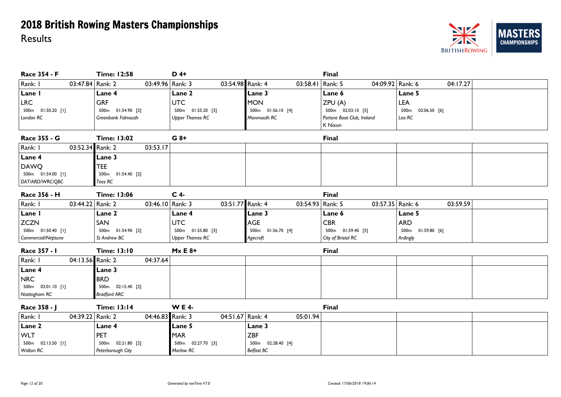

| Race 354 - F                | <b>Time: 12:58</b>  | $D$ 4+                 |                     | Final                      |                   |
|-----------------------------|---------------------|------------------------|---------------------|----------------------------|-------------------|
| Rank: I<br>03:47.84 Rank: 2 | 03:49.96   Rank: 3  | 03:54.98 Rank: 4       | 03:58.41   Rank: 5  | 04:09.92 Rank: 6           | 04:17.27          |
| Lane I                      | Lane 4              | Lane 2                 | Lane 3              | Lane 6                     | Lane 5            |
| <b>LRC</b>                  | <b>GRF</b>          | <b>UTC</b>             | <b>MON</b>          | ZPU (A)                    | LEA               |
| 500m  01:50.20 [1]          | 500m 01:54.90 [2]   | 500m  01:55.20  [3]    | 500m  01:56.10 [4]  | 500m  02:03.10  [5]        | 500m 02:06.50 [6] |
| London RC                   | Greenbank Falmouth  | <b>Upper Thames RC</b> | Monmouth RC         | Portora Boat Club, Ireland | Lea RC            |
|                             |                     |                        |                     | K Nixon                    |                   |
| Race 355 - G                | <b>Time: 13:02</b>  | $G$ 8+                 |                     | Final                      |                   |
| Rank: I<br>03:52.34 Rank: 2 | 03:53.17            |                        |                     |                            |                   |
| Lane 4                      | Lane 3              |                        |                     |                            |                   |
| <b>DAWQ</b>                 | <b>TEE</b>          |                        |                     |                            |                   |
| 500m  01:54.00  [1]         | 500m 01:54.40 [2]   |                        |                     |                            |                   |
| DAT/ARD/WRC/QBC             | Tees RC             |                        |                     |                            |                   |
| Race 356 - H                | <b>Time: 13:06</b>  | $C$ 4-                 |                     | <b>Final</b>               |                   |
| Rank: I<br>03:44.22 Rank: 2 | 03:46.10   Rank: 3  | 03:51.77 Rank: 4       | 03:54.93   Rank: 5  | 03:57.35 Rank: 6           | 03:59.59          |
| Lane I                      | Lane 2              | Lane 4                 | Lane 3              | Lane 6                     | Lane 5            |
| <b>ZCZN</b>                 | SAN                 | <b>UTC</b>             | <b>AGE</b>          | <b>CBR</b>                 | <b>ARD</b>        |
| 500m  01:50.40  [1]         | 500m 01:54.90 [2]   | 500m 01:55.80 [3]      | 500m  01:56.70 [4]  | 500m 01:59.40 [5]          | 500m 01:59.80 [6] |
| Commercial/Neptune          | St Andrew BC        | <b>Upper Thames RC</b> | Agecroft            | City of Bristol RC         | Ardingly          |
| Race 357 - I                | <b>Time: 13:10</b>  | $Mx E8+$               |                     | <b>Final</b>               |                   |
| 04:13.56 Rank: 2<br>Rank: I | 04:37.64            |                        |                     |                            |                   |
| Lane 4                      | <b>Lane 3</b>       |                        |                     |                            |                   |
| <b>NRC</b>                  | <b>BRD</b>          |                        |                     |                            |                   |
| 500m  02:01.10  [1]         | 500m  02:15.40  [2] |                        |                     |                            |                   |
| Nottingham RC               | <b>Bradford ARC</b> |                        |                     |                            |                   |
| Race 358 - J                | <b>Time: 13:14</b>  | <b>WE4-</b>            |                     | Final                      |                   |
| Rank: I<br>04:39.22 Rank: 2 | 04:46.83 Rank: 3    | 04:51.67 Rank: 4       | 05:01.94            |                            |                   |
| Lane 2                      | Lane 4              | Lane 5                 | Lane 3              |                            |                   |
| <b>WLT</b>                  | PET                 | <b>MAR</b>             | <b>ZBF</b>          |                            |                   |
| 500m  02:13.50 [1]          | 500m 02:21.80 [2]   | 500m  02:27.70  [3]    | 500m  02:28.40  [4] |                            |                   |
| <b>Walton RC</b>            | Peterborough City   | <b>Marlow RC</b>       | <b>Belfast BC</b>   |                            |                   |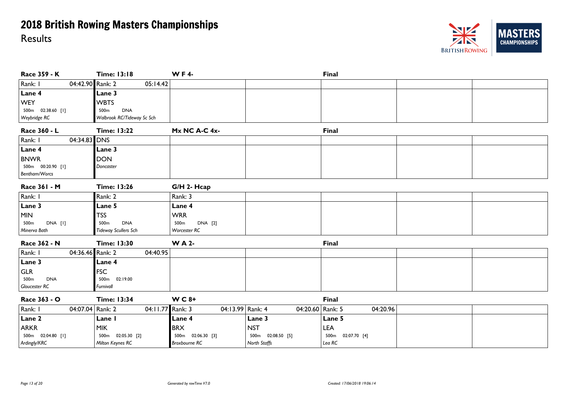

| Race 359 - K                   | <b>Time: 13:18</b>           | <b>WF4-</b>          |                     | Final             |  |
|--------------------------------|------------------------------|----------------------|---------------------|-------------------|--|
| Rank: I<br>04:42.90 Rank: 2    | 05:14.42                     |                      |                     |                   |  |
| Lane 4                         | Lane 3                       |                      |                     |                   |  |
| <b>WEY</b>                     | <b>WBTS</b>                  |                      |                     |                   |  |
| 500m  02:38.60 [1]             | <b>DNA</b><br>500m           |                      |                     |                   |  |
| Weybridge RC                   | Walbrook RC/Tideway Sc Sch   |                      |                     |                   |  |
| Race 360 - L                   | <b>Time: 13:22</b>           | Mx NC A-C 4x-        |                     | Final             |  |
| 04:34.83 DNS<br>Rank: I        |                              |                      |                     |                   |  |
| Lane 4                         | Lane 3                       |                      |                     |                   |  |
| <b>BNWR</b>                    | <b>DON</b>                   |                      |                     |                   |  |
| 500m 00:20.90 [1]              | Doncaster                    |                      |                     |                   |  |
| Bentham/Worcs                  |                              |                      |                     |                   |  |
| Race 361 - M                   | <b>Time: 13:26</b>           | G/H 2- Hcap          |                     |                   |  |
| Rank: I                        | Rank: 2                      | Rank: 3              |                     |                   |  |
| Lane 3                         | Lane 5                       | Lane 4               |                     |                   |  |
| <b>MIN</b>                     | <b>TSS</b>                   | <b>WRR</b>           |                     |                   |  |
| DNA [I]<br>500m                | <b>DNA</b><br>500m           | DNA [2]<br>500m      |                     |                   |  |
| Minerva Bath                   | <b>Tideway Scullers Sch</b>  | Worcester RC         |                     |                   |  |
| Race 362 - N                   | <b>Time: 13:30</b>           | <b>WA2-</b>          |                     | Final             |  |
| Rank: I<br>04:36.46 Rank: 2    | 04:40.95                     |                      |                     |                   |  |
| Lane 3                         | Lane 4                       |                      |                     |                   |  |
| <b>GLR</b>                     | <b>FSC</b>                   |                      |                     |                   |  |
| 500 <sub>m</sub><br><b>DNA</b> | 02:19.00<br>500 <sub>m</sub> |                      |                     |                   |  |
| Gloucester RC                  | Furnivall                    |                      |                     |                   |  |
| Race 363 - O                   | <b>Time: 13:34</b>           | $W C 8+$             |                     | Final             |  |
| Rank: I<br>04:07.04 Rank: 2    | 04:11.77 Rank: 3             | 04:13.99 Rank: 4     | 04:20.60   Rank: 5  | 04:20.96          |  |
| Lane 2                         | Lane I                       | Lane 4               | Lane 3              | Lane 5            |  |
| <b>ARKR</b>                    | <b>MIK</b>                   | <b>BRX</b>           | <b>NST</b>          | <b>LEA</b>        |  |
| 500m  02:04.80 [1]             | 500m  02:05.30  [2]          | 500m 02:06.30 [3]    | 500m  02:08.50  [5] | 500m 02:07.70 [4] |  |
| Ardingly/KRC                   | Milton Keynes RC             | <b>Broxbourne RC</b> | North Staffs        | Lea RC            |  |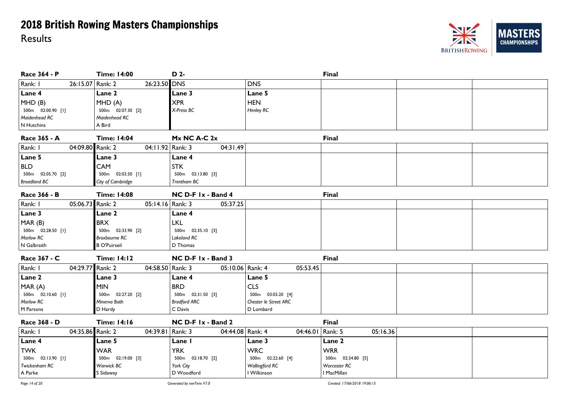

| Race 364 - P        | <b>Time: 14:00</b>                     | D 2-                |                       | <b>Final</b>        |  |
|---------------------|----------------------------------------|---------------------|-----------------------|---------------------|--|
| Rank: I             | 26:23.50 DNS<br>26:15.07 Rank: 2       |                     | <b>DNS</b>            |                     |  |
| Lane 4              | Lane 2                                 | Lane 3              | Lane 5                |                     |  |
| MHD(B)              | MHD (A)                                | <b>XPR</b>          | <b>HEN</b>            |                     |  |
| 500m 02:00.90 [1]   | 500m 02:07.30 [2]                      | X-Press BC          | Henley RC             |                     |  |
| Maidenhead RC       | Maidenhead RC                          |                     |                       |                     |  |
| N Hutchins          | A Bird                                 |                     |                       |                     |  |
| Race 365 - A        | <b>Time: 14:04</b>                     | $Mx$ NC A-C $2x$    |                       | <b>Final</b>        |  |
| Rank: I             | 04:09.80 Rank: 2<br>04:11.92 Rank: 3   | 04:31.49            |                       |                     |  |
| Lane 5              | Lane 3                                 | Lane 4              |                       |                     |  |
| <b>BLD</b>          | <b>CAM</b>                             | <b>STK</b>          |                       |                     |  |
| 500m 02:05.70 [2]   | 500m 02:03.50 [1]                      | 500m 02:13.80 [3]   |                       |                     |  |
| <b>Broadland BC</b> | City of Cambridge                      | Trentham BC         |                       |                     |  |
| Race 366 - B        | <b>Time: 14:08</b>                     | NC D-F Ix - Band 4  |                       | <b>Final</b>        |  |
| Rank: I             | 05:06.73 Rank: 2<br>05:14.16 Rank: 3   | 05:37.25            |                       |                     |  |
| Lane 3              | Lane 2                                 | Lane 4              |                       |                     |  |
| MAR(B)              | <b>BRX</b>                             | <b>LKL</b>          |                       |                     |  |
| 500m  02:28.50 [1]  | 500m  02:33.90  [2]                    | 500m 02:35.10 [3]   |                       |                     |  |
| Marlow RC           | <b>Broxbourne RC</b>                   | Lakeland RC         |                       |                     |  |
| N Galbraith         | <b>B</b> O'Puirseil                    | D Thomas            |                       |                     |  |
| Race 367 - C        | <b>Time: 14:12</b>                     | NC D-F Ix - Band 3  |                       | <b>Final</b>        |  |
| Rank: I             | 04:29.77 Rank: 2<br>04:58.50 Rank: 3   | 05:10.06 Rank: 4    | 05:53.45              |                     |  |
| Lane 2              | <b>Lane 3</b>                          | Lane 4              | Lane 5                |                     |  |
| MAR (A)             | <b>MIN</b>                             | <b>BRD</b>          | <b>CLS</b>            |                     |  |
| 500m 02:10.60 [1]   | 500m 02:27.20 [2]                      | 500m  02:31.50  [3] | 500m 03:03.20 [4]     |                     |  |
| <b>Marlow RC</b>    | Minerva Bath                           | <b>Bradford ARC</b> | Chester le Street ARC |                     |  |
| M Parsons           | D Hardy                                | C Davis             | D Lombard             |                     |  |
| Race 368 - D        | <b>Time: 14:16</b>                     | NC D-F Ix - Band 2  |                       | <b>Final</b>        |  |
| Rank: I             | 04:35.86 Rank: 2<br>04:39.81   Rank: 3 | 04:44.08 Rank: 4    | 04:46.01   Rank: 5    | 05:16.36            |  |
| Lane 4              | Lane 5                                 | Lane I              | Lane 3                | Lane 2              |  |
| <b>TWK</b>          | <b>WAR</b>                             | <b>YRK</b>          | <b>WRC</b>            | <b>WRR</b>          |  |
| 500m  02:13.90  [1] | 500m 02:19.00 [3]                      | 500m 02:18.70 [2]   | 500m  02:22.60  [4]   | 500m  02:34.80  [5] |  |
| Twickenham RC       | Warwick BC                             | York City           | Wallingford RC        | Worcester RC        |  |
| A Parke             | S Sidaway                              | D Woodford          | I Wilkinson           | I I MacMillan       |  |

*Page 14 of 20 Generated by rowTime V7.0 Created: 17/06/2018 19:06:15*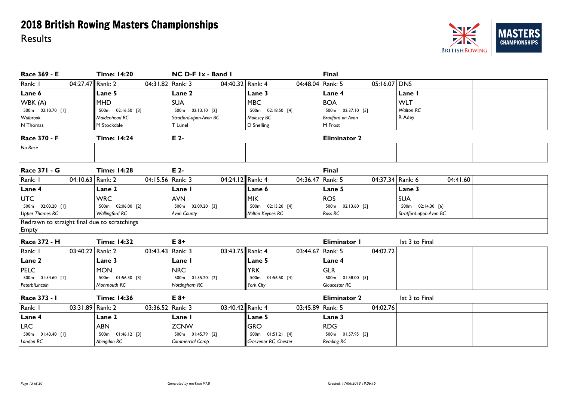

| Race 369 - E                                                 | <b>Time: 14:20</b>  | NC D-F Ix - Band I     |                       | <b>Final</b>        |                        |
|--------------------------------------------------------------|---------------------|------------------------|-----------------------|---------------------|------------------------|
| 04:27.47 Rank: 2<br>Rank: I                                  | 04:31.82 Rank: 3    | 04:40.32 Rank: 4       | 04:48.04   Rank: 5    | 05:16.07 DNS        |                        |
| Lane 6                                                       | <b>Lane 5</b>       | Lane 2                 | Lane 3                | Lane 4              | Lane I                 |
| WBK (A)                                                      | <b>MHD</b>          | <b>SUA</b>             | <b>MBC</b>            | <b>BOA</b>          | <b>WLT</b>             |
| 500m 02:10.70 [1]                                            | 500m 02:16.50 [3]   | 500m  02:13.10  [2]    | 500m 02:18.50 [4]     | 500m 02:37.10 [5]   | <b>Walton RC</b>       |
| Walbrook                                                     | Maidenhead RC       | Stratford-upon-Avon BC | Molesey BC            | Bradford on Avon    | R Adey                 |
| N Thomas                                                     | M Stockdale         | T Lunel                | D Snelling            | M Frost             |                        |
| Race 370 - F                                                 | <b>Time: 14:24</b>  | E 2-                   |                       | <b>Eliminator 2</b> |                        |
| No Race                                                      |                     |                        |                       |                     |                        |
| Race 371 - G                                                 | <b>Time: 14:28</b>  | E 2-                   |                       | <b>Final</b>        |                        |
| 04:10.63 Rank: 2<br>Rank: I                                  | 04:15.56 Rank: 3    | 04:24.12 Rank: 4       | 04:36.47   Rank: 5    | 04:37.34 Rank: 6    | 04:41.60               |
| Lane 4                                                       | Lane 2              | Lane I                 | Lane 6                | Lane 5              | Lane 3                 |
| <b>UTC</b>                                                   | <b>WRC</b>          | <b>AVN</b>             | <b>MIK</b>            | <b>ROS</b>          | <b>SUA</b>             |
| 500m 02:03.20 [1]                                            | 500m 02:06.00 [2]   | 500m 02:09.20 [3]      | 500m 02:13.20 [4]     | 500m 02:13.60 [5]   | 500m 02:14.30 [6]      |
| <b>Upper Thames RC</b>                                       | Wallingford RC      | Avon County            | Milton Keynes RC      | Ross RC             | Stratford-upon-Avon BC |
| Redrawn to straight final due to scratchings<br><b>Empty</b> |                     |                        |                       |                     |                        |
| Race 372 - H                                                 | <b>Time: 14:32</b>  | $E$ 8+                 |                       | Eliminator I        | 1st 3 to Final         |
| Rank: I<br>03:40.22 Rank: 2                                  | 03:43.43   Rank: 3  | 03:43.75 Rank: 4       | 03:44.67   Rank: 5    | 04:02.72            |                        |
| Lane 2                                                       | Lane 3              | Lane I                 | Lane 5                | Lane 4              |                        |
| <b>PELC</b>                                                  | <b>MON</b>          | <b>NRC</b>             | <b>YRK</b>            | <b>GLR</b>          |                        |
| 500m 01:54.60 [1]                                            | 500m  01:56.30  [3] | 500m 01:55.20 [2]      | 500m  01:56.50 [4]    | 500m 01:58.00 [5]   |                        |
| Peterb/Lincoln                                               | Monmouth RC         | Nottingham RC          | York City             | Gloucester RC       |                        |
| Race 373 - I                                                 | <b>Time: 14:36</b>  | $E$ 8+                 |                       | <b>Eliminator 2</b> | 1st 3 to Final         |
| Rank: I<br>03:31.89 Rank: 2                                  | 03:36.52 Rank: 3    | 03:40.42 Rank: 4       | 03:45.89              | Rank: 5<br>04:02.76 |                        |
| Lane 4                                                       | Lane 2              | Lane I                 | Lane 5                | Lane 3              |                        |
| <b>LRC</b>                                                   | <b>ABN</b>          | <b>ZCNW</b>            | <b>GRO</b>            | <b>RDG</b>          |                        |
| 500m  01:43.40  [1]                                          | 500m 01:46.12 [3]   | 500m  01:45.79  [2]    | 500m  01:51.21 [4]    | 500m  01:57.95  [5] |                        |
| London RC                                                    | Abingdon RC         | Commercial Comp        | Grosvenor RC, Chester | <b>Reading RC</b>   |                        |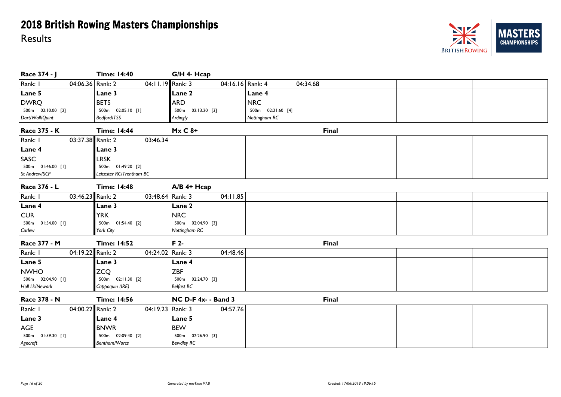#### **NIZ** ERS **MAS1 CHAMPIONSHIPS BRITISH ROWING**

| Race 374 - J          | <b>Time: 14:40</b>                   | G/H 4- Hcap         |                    |              |  |
|-----------------------|--------------------------------------|---------------------|--------------------|--------------|--|
| Rank: I               | 04:11.19 Rank: 3<br>04:06.36 Rank: 2 | 04:16.16 Rank: 4    | 04:34.68           |              |  |
| Lane 5                | Lane 3                               | Lane 2              | Lane 4             |              |  |
| <b>DWRQ</b>           | <b>BETS</b>                          | <b>ARD</b>          | <b>NRC</b>         |              |  |
| 500m  02:10.00  [2]   | 500m  02:05.10 [1]                   | 500m  02:13.20  [3] | 500m  02:21.60 [4] |              |  |
| Dart/Wall/Quint       | Bedford/TSS                          | Ardingly            | Nottingham RC      |              |  |
| Race 375 - K          | <b>Time: 14:44</b>                   | $Mx C 8+$           |                    | Final        |  |
| Rank: I               | 03:37.38 Rank: 2<br>03:46.34         |                     |                    |              |  |
| Lane 4                | Lane 3                               |                     |                    |              |  |
| SASC                  | <b>LRSK</b>                          |                     |                    |              |  |
| 500m 01:46.00 [1]     | 500m 01:49.20 [2]                    |                     |                    |              |  |
| St Andrew/SCP         | Leicester RC/Trentham BC             |                     |                    |              |  |
| Race 376 - L          | <b>Time: 14:48</b>                   | $A/B$ 4+ $Hcap$     |                    |              |  |
| Rank: I               | 03:46.23 Rank: 2<br>03:48.64 Rank: 3 | 04:11.85            |                    |              |  |
| Lane 4                | Lane 3                               | Lane 2              |                    |              |  |
| <b>CUR</b>            | <b>YRK</b>                           | <b>NRC</b>          |                    |              |  |
| 500m  01:54.00  [1]   | 500m  01:54.40  [2]                  | 500m 02:04.90 [3]   |                    |              |  |
| Curlew                | York City                            | Nottingham RC       |                    |              |  |
| Race 377 - M          | <b>Time: 14:52</b>                   | F 2-                |                    | Final        |  |
| Rank: I               | 04:19.22 Rank: 2<br>04:24.02 Rank: 3 | 04:48.46            |                    |              |  |
| Lane 5                | Lane 3                               | Lane 4              |                    |              |  |
| <b>NWHO</b>           | <b>ZCQ</b>                           | <b>ZBF</b>          |                    |              |  |
| 500m  02:04.90  [I]   | 500m  02:11.30  [2]                  | 500m  02:24.70  [3] |                    |              |  |
| <b>Holl Lk/Newark</b> | Cappoquin (IRE)                      | <b>Belfast BC</b>   |                    |              |  |
| Race 378 - N          | <b>Time: 14:56</b>                   | NC D-F 4x- - Band 3 |                    | <b>Final</b> |  |
| Rank: I               | 04:00.22 Rank: 2<br>04:19.23 Rank: 3 | 04:57.76            |                    |              |  |
| Lane 3                | Lane 4                               | Lane 5              |                    |              |  |
| AGE                   | <b>BNWR</b>                          | <b>BEW</b>          |                    |              |  |
| 500m 01:59.30 [1]     | 500m 02:09.40 [2]                    | 500m 02:26.90 [3]   |                    |              |  |
| Agecroft              | Bentham/Worcs                        | <b>Bewdley RC</b>   |                    |              |  |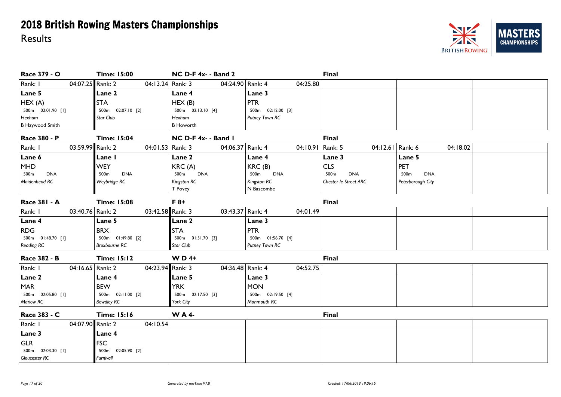

| Race 379 - O        | <b>Time: 15:00</b>           | NC D-F 4x- - Band 2 |                  |                                |                    | <b>Final</b>          |                    |          |  |
|---------------------|------------------------------|---------------------|------------------|--------------------------------|--------------------|-----------------------|--------------------|----------|--|
| Rank: I             | 04:07.25 Rank: 2             | 04:13.24 Rank: 3    |                  | 04:24.90 Rank: 4               | 04:25.80           |                       |                    |          |  |
| Lane 5              | Lane 2                       | Lane 4              |                  | Lane 3                         |                    |                       |                    |          |  |
| HEX(A)              | <b>STA</b>                   | HEX(B)              |                  | <b>PTR</b>                     |                    |                       |                    |          |  |
| 500m 02:01.90 [1]   | 500m 02:07.10 [2]            | 500m 02:13.10 [4]   |                  | 500m  02:12.00  [3]            |                    |                       |                    |          |  |
| Hexham              | Star Club                    | Hexham              |                  | Putney Town RC                 |                    |                       |                    |          |  |
| B Haywood Smith     |                              | <b>B</b> Howorth    |                  |                                |                    |                       |                    |          |  |
| Race 380 - P        | <b>Time: 15:04</b>           | NC D-F 4x- - Band I |                  |                                |                    | <b>Final</b>          |                    |          |  |
| Rank: I             | 03:59.99 Rank: 2             | 04:01.53   Rank: 3  | 04:06.37 Rank: 4 |                                | 04:10.91   Rank: 5 |                       | 04:12.61 Rank: 6   | 04:18.02 |  |
| Lane 6              | Lane I                       | Lane 2              |                  | Lane 4                         |                    | Lane 3                | Lane 5             |          |  |
| <b>MHD</b>          | <b>WEY</b>                   | KRC(A)              |                  | KRC(B)                         |                    | <b>CLS</b>            | PET                |          |  |
| <b>DNA</b><br>500m  | 500m<br><b>DNA</b>           | <b>DNA</b><br>500m  |                  | 500 <sub>m</sub><br><b>DNA</b> |                    | <b>DNA</b><br>500m    | <b>DNA</b><br>500m |          |  |
| Maidenhead RC       | Weybridge RC                 | Kingston RC         |                  | Kingston RC                    |                    | Chester le Street ARC | Peterborough City  |          |  |
|                     |                              | T Povey             |                  | N Bascombe                     |                    |                       |                    |          |  |
| <b>Race 381 - A</b> | <b>Time: 15:08</b>           | $F 8+$              |                  |                                |                    | <b>Final</b>          |                    |          |  |
| Rank: I             | 03:40.76 Rank: 2             | 03:42.58 Rank: 3    | 03:43.37 Rank: 4 |                                | 04:01.49           |                       |                    |          |  |
| Lane 4              | Lane 5                       | Lane 2              |                  | Lane 3                         |                    |                       |                    |          |  |
| <b>RDG</b>          | <b>BRX</b>                   | <b>STA</b>          |                  | <b>PTR</b>                     |                    |                       |                    |          |  |
| 500m  01:48.70 [1]  | 500m 01:49.80 [2]            | 500m  01:51.70  [3] |                  | 500m  01:56.70 [4]             |                    |                       |                    |          |  |
| <b>Reading RC</b>   | <b>Broxbourne RC</b>         | Star Club           |                  | Putney Town RC                 |                    |                       |                    |          |  |
| Race 382 - B        | <b>Time: 15:12</b>           | $W D 4+$            |                  |                                |                    | <b>Final</b>          |                    |          |  |
| Rank: I             | 04:16.65 Rank: 2             | 04:23.94 Rank: 3    | 04:36.48 Rank: 4 |                                | 04:52.75           |                       |                    |          |  |
| Lane 2              | Lane 4                       | Lane 5              |                  | Lane 3                         |                    |                       |                    |          |  |
| <b>MAR</b>          | <b>BEW</b>                   | <b>YRK</b>          |                  | <b>MON</b>                     |                    |                       |                    |          |  |
| 500m 02:05.80 [1]   | 500m  02:11.00  [2]          | 500m  02:17.50  [3] |                  | 500m  02:19.50 [4]             |                    |                       |                    |          |  |
| Marlow RC           | <b>Bewdley RC</b>            | York City           |                  | Monmouth RC                    |                    |                       |                    |          |  |
| Race 383 - C        | <b>Time: 15:16</b>           | <b>WA4-</b>         |                  |                                |                    | <b>Final</b>          |                    |          |  |
| Rank: I             | 04:07.90 Rank: 2<br>04:10.54 |                     |                  |                                |                    |                       |                    |          |  |
| Lane 3              | Lane 4                       |                     |                  |                                |                    |                       |                    |          |  |
| <b>GLR</b>          | <b>FSC</b>                   |                     |                  |                                |                    |                       |                    |          |  |
| 500m 02:03.30 [1]   | 02:05.90 [2]<br>500m         |                     |                  |                                |                    |                       |                    |          |  |
| Gloucester RC       | Furnivall                    |                     |                  |                                |                    |                       |                    |          |  |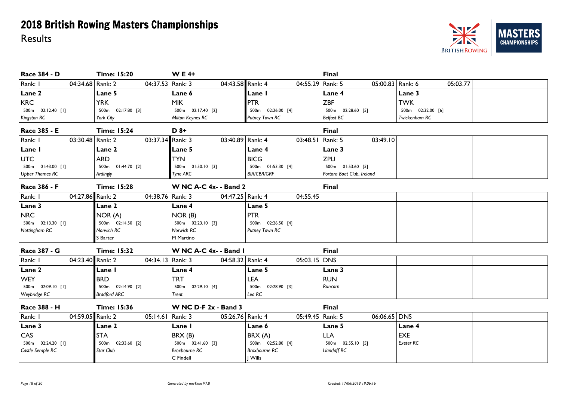

| Race 384 - D                | <b>Time: 15:20</b>  | <b>WE4+</b>             |                                  | Final                      |                   |
|-----------------------------|---------------------|-------------------------|----------------------------------|----------------------------|-------------------|
| Rank: I<br>04:34.68 Rank: 2 | 04:37.53   Rank: 3  | 04:43.58 Rank: 4        | 04:55.29 Rank: 5                 | 05:00.83 Rank: 6           | 05:03.77          |
| Lane 2                      | Lane 5              | Lane 6                  | Lane I                           | Lane 4                     | Lane 3            |
| <b>KRC</b>                  | <b>YRK</b>          | <b>MIK</b>              | PTR                              | <b>ZBF</b>                 | <b>TWK</b>        |
| 500m  02:12.40  [1]         | 500m  02:17.80  [3] | 500m  02:17.40  [2]     | 02:26.00 [4]<br>500 <sub>m</sub> | 500m 02:28.60 [5]          | 500m 02:32.00 [6] |
| Kingston RC                 | York City           | Milton Keynes RC        | Putney Town RC                   | <b>Belfast BC</b>          | Twickenham RC     |
| Race 385 - E                | <b>Time: 15:24</b>  | $D$ 8+                  |                                  | <b>Final</b>               |                   |
| Rank: I<br>03:30.48 Rank: 2 | 03:37.34 Rank: 3    | 03:40.89 Rank: 4        | 03:48.51   Rank: 5               | 03:49.10                   |                   |
| Lane I                      | Lane 2              | Lane 5                  | Lane 4                           | Lane 3                     |                   |
| <b>UTC</b>                  | <b>ARD</b>          | <b>TYN</b>              | <b>BICG</b>                      | <b>ZPU</b>                 |                   |
| 500m  01:43.00  [1]         | 500m  01:44.70  [2] | 500m  01:50.10  [3]     | 500m  01:53.30  [4]              | 500m  01:53.60  [5]        |                   |
| <b>Upper Thames RC</b>      | Ardingly            | Tyne ARC                | <b>BIA/CBR/GRF</b>               | Portora Boat Club, Ireland |                   |
| Race 386 - F                | <b>Time: 15:28</b>  | W NC A-C $4x - B$ and 2 |                                  | <b>Final</b>               |                   |
| Rank: I<br>04:27.86 Rank: 2 | 04:38.76 Rank: 3    | 04:47.25 Rank: 4        | 04:55.45                         |                            |                   |
| Lane 3                      | <b>Lane 2</b>       | Lane 4                  | Lane 5                           |                            |                   |
| <b>NRC</b>                  | NOR (A)             | NOR (B)                 | <b>PTR</b>                       |                            |                   |
| 500m  02:13.30  [1]         | 500m 02:14.50 [2]   | 500m 02:23.10 [3]       | 500m 02:26.50 [4]                |                            |                   |
| Nottingham RC               | Norwich RC          | Norwich RC              | Putney Town RC                   |                            |                   |
|                             | S Barter            | M Martino               |                                  |                            |                   |
| Race 387 - G                | <b>Time: 15:32</b>  | W NC A-C 4x- - Band I   |                                  | <b>Final</b>               |                   |
| Rank: I<br>04:23.40 Rank: 2 | 04:34.13 Rank: 3    | 04:58.32 Rank: 4        | 05:03.15 DNS                     |                            |                   |
| Lane 2                      | Lane I              | Lane 4                  | Lane 5                           | Lane 3                     |                   |
| <b>WEY</b>                  | <b>BRD</b>          | <b>TRT</b>              | <b>LEA</b>                       | <b>RUN</b>                 |                   |
| 500m  02:09.10 [1]          | 500m 02:14.90 [2]   | 500m 02:29.10 [4]       | 500m  02:28.90  [3]              | Runcorn                    |                   |
| Weybridge RC                | <b>Bradford ARC</b> | Trent                   | Lea RC                           |                            |                   |
| Race 388 - H                | <b>Time: 15:36</b>  | W NC D-F 2x - Band 3    |                                  | <b>Final</b>               |                   |
| Rank: I<br>04:59.05 Rank: 2 | 05:14.61   Rank: 3  | 05:26.76 Rank: 4        | 05:49.45   Rank: 5               | $06:06.65$ DNS             |                   |
| Lane 3                      | <b>Lane 2</b>       | Lane I                  | Lane 6                           | Lane 5                     | Lane 4            |
| CAS                         | <b>STA</b>          | BRX (B)                 | BRX (A)                          | <b>LLA</b>                 | <b>EXE</b>        |
| 500m  02:24.20 [1]          | 500m 02:33.60 [2]   | 500m 02:41.60 [3]       | 500m 02:52.80 [4]                | 500m  02:55.10  [5]        | Exeter RC         |
| Castle Semple RC            | Star Club           | <b>Broxbourne RC</b>    | <b>Broxbourne RC</b>             | Llandaff RC                |                   |
|                             |                     | C Findell               | J Wills                          |                            |                   |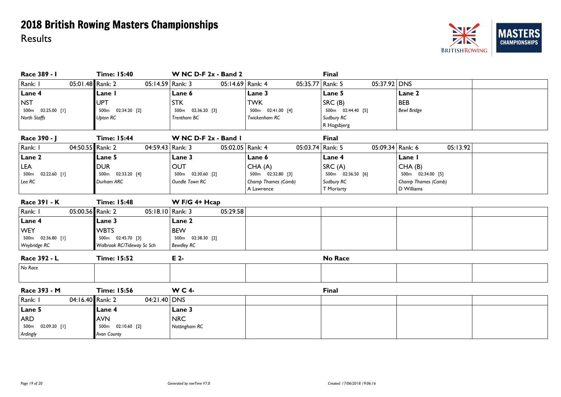

| Race 389 - I                | <b>Time: 15:40</b>         | W NC D-F 2x - Band 2 |                     | Final               |                     |
|-----------------------------|----------------------------|----------------------|---------------------|---------------------|---------------------|
| 05:01.48 Rank: 2<br>Rank: I | $05:14.59$ Rank: 3         | 05:14.69 Rank: 4     | 05:35.77   Rank: 5  | 05:37.92 DNS        |                     |
| Lane 4                      | Lane I                     | Lane 6               | Lane 3              | Lane 5              | Lane 2              |
| <b>NST</b>                  | <b>UPT</b>                 | <b>STK</b>           | <b>TWK</b>          | SRC(B)              | <b>BEB</b>          |
| 500m 02:25.00 [1]           | 500m 02:34.20 [2]          | 500m 02:36.20 [3]    | 500m 02:41.00 [4]   | 500m  02:44.40  [5] | <b>Bewl Bridge</b>  |
| North Staffs                | <b>Upton RC</b>            | Trentham BC          | Twickenham RC       | Sudbury RC          |                     |
|                             |                            |                      |                     | R Hogsbjerg         |                     |
| Race 390 - J                | <b>Time: 15:44</b>         | W NC D-F 2x - Band I |                     | <b>Final</b>        |                     |
| Rank: I<br>04:50.55 Rank: 2 | 04:59.43 Rank: 3           | 05:02.05   Rank: 4   | 05:03.74 Rank: 5    | 05:09.34 Rank: 6    | 05:13.92            |
| Lane 2                      | Lane 5                     | Lane 3               | Lane 6              | Lane 4              | Lane I              |
| LEA                         | <b>DUR</b>                 | <b>OUT</b>           | CHA (A)             | SRC(A)              | CHA(B)              |
| 500m  02:22.60 [1]          | 500m 02:33.20 [4]          | 500m 02:30.60 [2]    | 500m 02:32.80 [3]   | 500m 02:36.50 [6]   | 500m  02:34.00  [5] |
| Lea RC                      | Durham ARC                 | Oundle Town RC       | Champ Thames (Camb) | Sudbury RC          | Champ Thames (Camb) |
|                             |                            |                      | A Lawrence          | T Moriarty          | D Williams          |
| Race 391 - K                | <b>Time: 15:48</b>         | W F/G 4+ Hcap        |                     |                     |                     |
| Rank: I<br>05:00.56 Rank: 2 | 05:18.10 Rank: 3           | 05:29.58             |                     |                     |                     |
| Lane 4                      | Lane 3                     | Lane 2               |                     |                     |                     |
| <b>WEY</b>                  | <b>WBTS</b>                | <b>BEW</b>           |                     |                     |                     |
| 500m 02:36.80 [1]           | 500m 02:45.70 [3]          | 500m 02:38.30 [2]    |                     |                     |                     |
| Weybridge RC                | Walbrook RC/Tideway Sc Sch | <b>Bewdley RC</b>    |                     |                     |                     |
| Race 392 - L                | <b>Time: 15:52</b>         | E 2-                 |                     | <b>No Race</b>      |                     |
| No Race                     |                            |                      |                     |                     |                     |
|                             |                            |                      |                     |                     |                     |
| Race 393 - M                | <b>Time: 15:56</b>         | <b>WC4-</b>          |                     | <b>Final</b>        |                     |
| 04:16.40 Rank: 2<br>Rank: I | 04:21.40 DNS               |                      |                     |                     |                     |
| Lane 5                      | Lane 4                     | Lane 3               |                     |                     |                     |
| <b>ARD</b>                  | <b>AVN</b>                 | <b>NRC</b>           |                     |                     |                     |
| 500m 02:09.20 [1]           | 500m 02:10.60 [2]          | Nottingham RC        |                     |                     |                     |
| Ardingly                    | Avon County                |                      |                     |                     |                     |